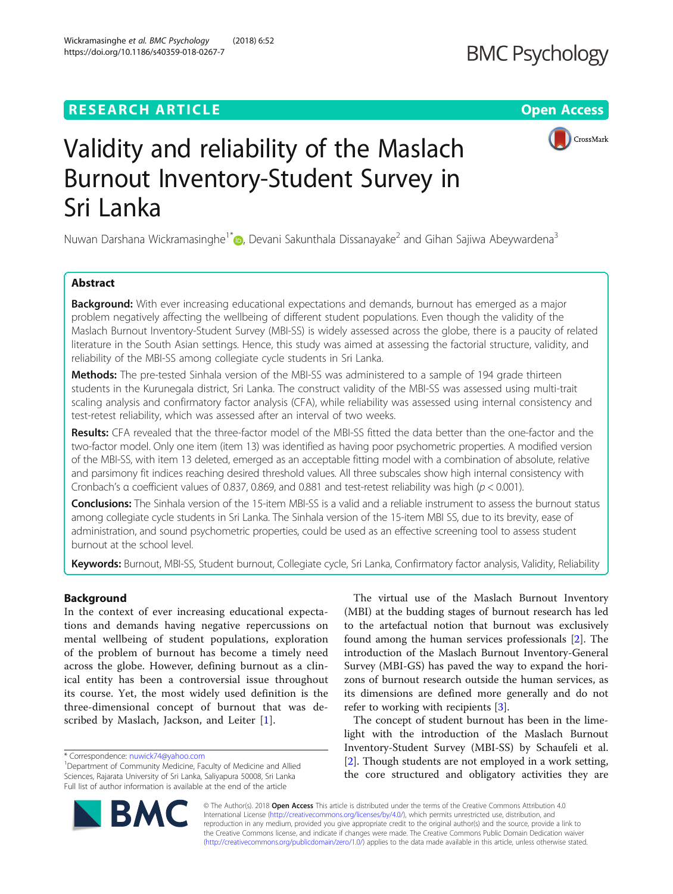## **RESEARCH ARTICLE Example 2018 12:30 THE Open Access**



# Validity and reliability of the Maslach Burnout Inventory-Student Survey in Sri Lanka

Nuwan Darshana Wickramasinghe<sup>1\*</sup> <sub>(b)</sub> Devani Sakunthala Dissanayake<sup>2</sup> and Gihan Sajiwa Abeywardena<sup>3</sup>

## Abstract

**Background:** With ever increasing educational expectations and demands, burnout has emerged as a major problem negatively affecting the wellbeing of different student populations. Even though the validity of the Maslach Burnout Inventory-Student Survey (MBI-SS) is widely assessed across the globe, there is a paucity of related literature in the South Asian settings. Hence, this study was aimed at assessing the factorial structure, validity, and reliability of the MBI-SS among collegiate cycle students in Sri Lanka.

Methods: The pre-tested Sinhala version of the MBI-SS was administered to a sample of 194 grade thirteen students in the Kurunegala district, Sri Lanka. The construct validity of the MBI-SS was assessed using multi-trait scaling analysis and confirmatory factor analysis (CFA), while reliability was assessed using internal consistency and test-retest reliability, which was assessed after an interval of two weeks.

Results: CFA revealed that the three-factor model of the MBI-SS fitted the data better than the one-factor and the two-factor model. Only one item (item 13) was identified as having poor psychometric properties. A modified version of the MBI-SS, with item 13 deleted, emerged as an acceptable fitting model with a combination of absolute, relative and parsimony fit indices reaching desired threshold values. All three subscales show high internal consistency with Cronbach's α coefficient values of 0.837, 0.869, and 0.881 and test-retest reliability was high ( $p < 0.001$ ).

Conclusions: The Sinhala version of the 15-item MBI-SS is a valid and a reliable instrument to assess the burnout status among collegiate cycle students in Sri Lanka. The Sinhala version of the 15-item MBI SS, due to its brevity, ease of administration, and sound psychometric properties, could be used as an effective screening tool to assess student burnout at the school level.

Keywords: Burnout, MBI-SS, Student burnout, Collegiate cycle, Sri Lanka, Confirmatory factor analysis, Validity, Reliability

## Background

In the context of ever increasing educational expectations and demands having negative repercussions on mental wellbeing of student populations, exploration of the problem of burnout has become a timely need across the globe. However, defining burnout as a clinical entity has been a controversial issue throughout its course. Yet, the most widely used definition is the three-dimensional concept of burnout that was de-scribed by Maslach, Jackson, and Leiter [\[1](#page-8-0)].

The virtual use of the Maslach Burnout Inventory (MBI) at the budding stages of burnout research has led to the artefactual notion that burnout was exclusively found among the human services professionals [\[2](#page-8-0)]. The introduction of the Maslach Burnout Inventory-General Survey (MBI-GS) has paved the way to expand the horizons of burnout research outside the human services, as its dimensions are defined more generally and do not refer to working with recipients [[3\]](#page-8-0).

The concept of student burnout has been in the limelight with the introduction of the Maslach Burnout Inventory-Student Survey (MBI-SS) by Schaufeli et al. [[2\]](#page-8-0). Though students are not employed in a work setting, the core structured and obligatory activities they are





<sup>\*</sup> Correspondence: [nuwick74@yahoo.com](mailto:nuwick74@yahoo.com) <sup>1</sup>

<sup>&</sup>lt;sup>1</sup>Department of Community Medicine, Faculty of Medicine and Allied Sciences, Rajarata University of Sri Lanka, Saliyapura 50008, Sri Lanka Full list of author information is available at the end of the article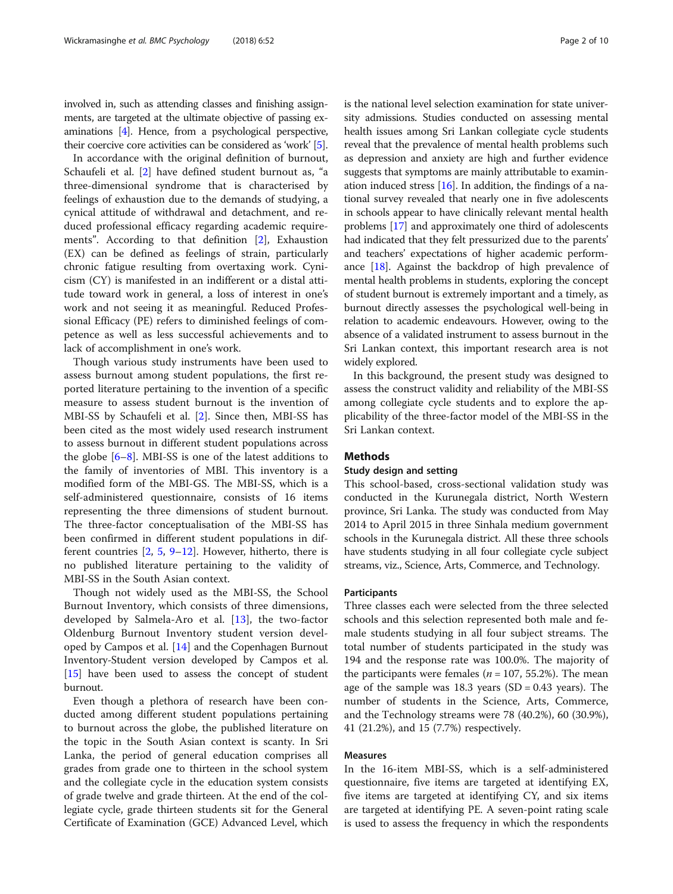involved in, such as attending classes and finishing assignments, are targeted at the ultimate objective of passing examinations [[4](#page-8-0)]. Hence, from a psychological perspective, their coercive core activities can be considered as 'work' [\[5](#page-8-0)].

In accordance with the original definition of burnout, Schaufeli et al. [\[2](#page-8-0)] have defined student burnout as, "a three-dimensional syndrome that is characterised by feelings of exhaustion due to the demands of studying, a cynical attitude of withdrawal and detachment, and reduced professional efficacy regarding academic requirements". According to that definition [[2](#page-8-0)], Exhaustion (EX) can be defined as feelings of strain, particularly chronic fatigue resulting from overtaxing work. Cynicism (CY) is manifested in an indifferent or a distal attitude toward work in general, a loss of interest in one's work and not seeing it as meaningful. Reduced Professional Efficacy (PE) refers to diminished feelings of competence as well as less successful achievements and to lack of accomplishment in one's work.

Though various study instruments have been used to assess burnout among student populations, the first reported literature pertaining to the invention of a specific measure to assess student burnout is the invention of MBI-SS by Schaufeli et al. [[2\]](#page-8-0). Since then, MBI-SS has been cited as the most widely used research instrument to assess burnout in different student populations across the globe  $[6-8]$  $[6-8]$  $[6-8]$  $[6-8]$ . MBI-SS is one of the latest additions to the family of inventories of MBI. This inventory is a modified form of the MBI-GS. The MBI-SS, which is a self-administered questionnaire, consists of 16 items representing the three dimensions of student burnout. The three-factor conceptualisation of the MBI-SS has been confirmed in different student populations in different countries  $[2, 5, 9-12]$  $[2, 5, 9-12]$  $[2, 5, 9-12]$  $[2, 5, 9-12]$  $[2, 5, 9-12]$  $[2, 5, 9-12]$  $[2, 5, 9-12]$  $[2, 5, 9-12]$ . However, hitherto, there is no published literature pertaining to the validity of MBI-SS in the South Asian context.

Though not widely used as the MBI-SS, the School Burnout Inventory, which consists of three dimensions, developed by Salmela-Aro et al. [[13\]](#page-9-0), the two-factor Oldenburg Burnout Inventory student version developed by Campos et al. [[14\]](#page-9-0) and the Copenhagen Burnout Inventory-Student version developed by Campos et al. [[15](#page-9-0)] have been used to assess the concept of student burnout.

Even though a plethora of research have been conducted among different student populations pertaining to burnout across the globe, the published literature on the topic in the South Asian context is scanty. In Sri Lanka, the period of general education comprises all grades from grade one to thirteen in the school system and the collegiate cycle in the education system consists of grade twelve and grade thirteen. At the end of the collegiate cycle, grade thirteen students sit for the General Certificate of Examination (GCE) Advanced Level, which is the national level selection examination for state university admissions. Studies conducted on assessing mental health issues among Sri Lankan collegiate cycle students reveal that the prevalence of mental health problems such as depression and anxiety are high and further evidence suggests that symptoms are mainly attributable to examination induced stress [[16](#page-9-0)]. In addition, the findings of a national survey revealed that nearly one in five adolescents in schools appear to have clinically relevant mental health problems [\[17\]](#page-9-0) and approximately one third of adolescents had indicated that they felt pressurized due to the parents' and teachers' expectations of higher academic performance [\[18\]](#page-9-0). Against the backdrop of high prevalence of mental health problems in students, exploring the concept of student burnout is extremely important and a timely, as burnout directly assesses the psychological well-being in relation to academic endeavours. However, owing to the absence of a validated instrument to assess burnout in the Sri Lankan context, this important research area is not widely explored.

In this background, the present study was designed to assess the construct validity and reliability of the MBI-SS among collegiate cycle students and to explore the applicability of the three-factor model of the MBI-SS in the Sri Lankan context.

## **Methods**

## Study design and setting

This school-based, cross-sectional validation study was conducted in the Kurunegala district, North Western province, Sri Lanka. The study was conducted from May 2014 to April 2015 in three Sinhala medium government schools in the Kurunegala district. All these three schools have students studying in all four collegiate cycle subject streams, viz., Science, Arts, Commerce, and Technology.

#### **Participants**

Three classes each were selected from the three selected schools and this selection represented both male and female students studying in all four subject streams. The total number of students participated in the study was 194 and the response rate was 100.0%. The majority of the participants were females ( $n = 107, 55.2\%$ ). The mean age of the sample was  $18.3$  years  $(SD = 0.43$  years). The number of students in the Science, Arts, Commerce, and the Technology streams were 78 (40.2%), 60 (30.9%), 41 (21.2%), and 15 (7.7%) respectively.

## Measures

In the 16-item MBI-SS, which is a self-administered questionnaire, five items are targeted at identifying EX, five items are targeted at identifying CY, and six items are targeted at identifying PE. A seven-point rating scale is used to assess the frequency in which the respondents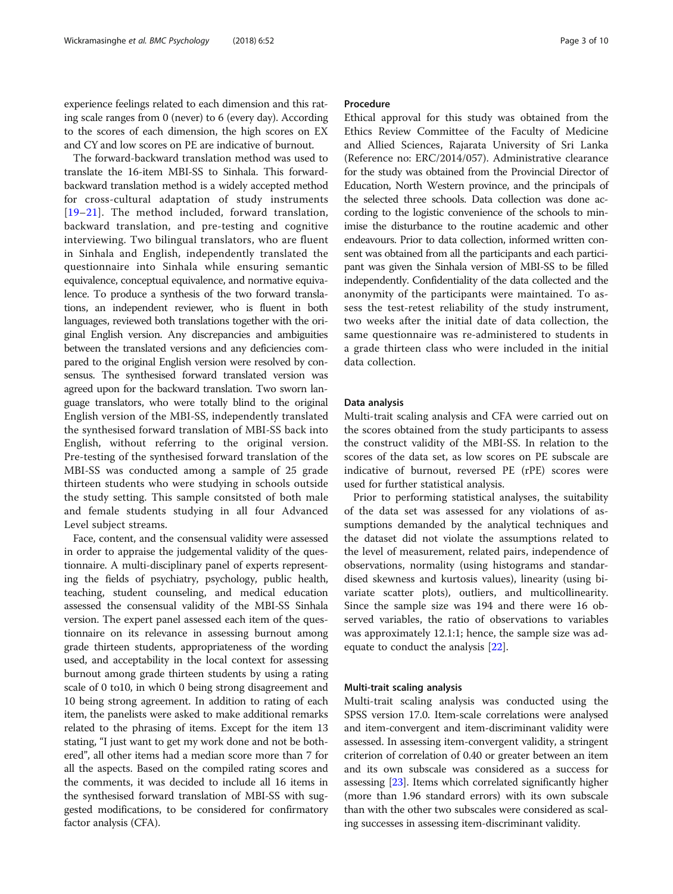experience feelings related to each dimension and this rating scale ranges from 0 (never) to 6 (every day). According to the scores of each dimension, the high scores on EX and CY and low scores on PE are indicative of burnout.

The forward-backward translation method was used to translate the 16-item MBI-SS to Sinhala. This forwardbackward translation method is a widely accepted method for cross-cultural adaptation of study instruments [[19](#page-9-0)–[21\]](#page-9-0). The method included, forward translation, backward translation, and pre-testing and cognitive interviewing. Two bilingual translators, who are fluent in Sinhala and English, independently translated the questionnaire into Sinhala while ensuring semantic equivalence, conceptual equivalence, and normative equivalence. To produce a synthesis of the two forward translations, an independent reviewer, who is fluent in both languages, reviewed both translations together with the original English version. Any discrepancies and ambiguities between the translated versions and any deficiencies compared to the original English version were resolved by consensus. The synthesised forward translated version was agreed upon for the backward translation. Two sworn language translators, who were totally blind to the original English version of the MBI-SS, independently translated the synthesised forward translation of MBI-SS back into English, without referring to the original version. Pre-testing of the synthesised forward translation of the MBI-SS was conducted among a sample of 25 grade thirteen students who were studying in schools outside the study setting. This sample consitsted of both male and female students studying in all four Advanced Level subject streams.

Face, content, and the consensual validity were assessed in order to appraise the judgemental validity of the questionnaire. A multi-disciplinary panel of experts representing the fields of psychiatry, psychology, public health, teaching, student counseling, and medical education assessed the consensual validity of the MBI-SS Sinhala version. The expert panel assessed each item of the questionnaire on its relevance in assessing burnout among grade thirteen students, appropriateness of the wording used, and acceptability in the local context for assessing burnout among grade thirteen students by using a rating scale of 0 to10, in which 0 being strong disagreement and 10 being strong agreement. In addition to rating of each item, the panelists were asked to make additional remarks related to the phrasing of items. Except for the item 13 stating, "I just want to get my work done and not be bothered", all other items had a median score more than 7 for all the aspects. Based on the compiled rating scores and the comments, it was decided to include all 16 items in the synthesised forward translation of MBI-SS with suggested modifications, to be considered for confirmatory factor analysis (CFA).

### Procedure

Ethical approval for this study was obtained from the Ethics Review Committee of the Faculty of Medicine and Allied Sciences, Rajarata University of Sri Lanka (Reference no: ERC/2014/057). Administrative clearance for the study was obtained from the Provincial Director of Education, North Western province, and the principals of the selected three schools. Data collection was done according to the logistic convenience of the schools to minimise the disturbance to the routine academic and other endeavours. Prior to data collection, informed written consent was obtained from all the participants and each participant was given the Sinhala version of MBI-SS to be filled independently. Confidentiality of the data collected and the anonymity of the participants were maintained. To assess the test-retest reliability of the study instrument, two weeks after the initial date of data collection, the same questionnaire was re-administered to students in a grade thirteen class who were included in the initial data collection.

#### Data analysis

Multi-trait scaling analysis and CFA were carried out on the scores obtained from the study participants to assess the construct validity of the MBI-SS. In relation to the scores of the data set, as low scores on PE subscale are indicative of burnout, reversed PE (rPE) scores were used for further statistical analysis.

Prior to performing statistical analyses, the suitability of the data set was assessed for any violations of assumptions demanded by the analytical techniques and the dataset did not violate the assumptions related to the level of measurement, related pairs, independence of observations, normality (using histograms and standardised skewness and kurtosis values), linearity (using bivariate scatter plots), outliers, and multicollinearity. Since the sample size was 194 and there were 16 observed variables, the ratio of observations to variables was approximately 12.1:1; hence, the sample size was adequate to conduct the analysis [[22\]](#page-9-0).

#### Multi-trait scaling analysis

Multi-trait scaling analysis was conducted using the SPSS version 17.0. Item-scale correlations were analysed and item-convergent and item-discriminant validity were assessed. In assessing item-convergent validity, a stringent criterion of correlation of 0.40 or greater between an item and its own subscale was considered as a success for assessing [\[23\]](#page-9-0). Items which correlated significantly higher (more than 1.96 standard errors) with its own subscale than with the other two subscales were considered as scaling successes in assessing item-discriminant validity.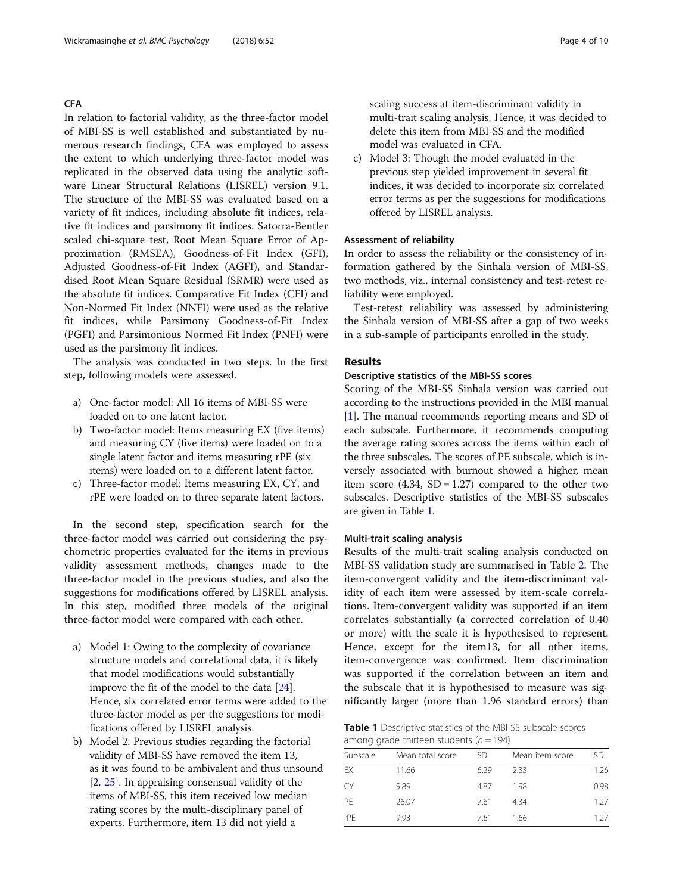### **CFA**

In relation to factorial validity, as the three-factor model of MBI-SS is well established and substantiated by numerous research findings, CFA was employed to assess the extent to which underlying three-factor model was replicated in the observed data using the analytic software Linear Structural Relations (LISREL) version 9.1. The structure of the MBI-SS was evaluated based on a variety of fit indices, including absolute fit indices, relative fit indices and parsimony fit indices. Satorra-Bentler scaled chi-square test, Root Mean Square Error of Approximation (RMSEA), Goodness-of-Fit Index (GFI), Adjusted Goodness-of-Fit Index (AGFI), and Standardised Root Mean Square Residual (SRMR) were used as the absolute fit indices. Comparative Fit Index (CFI) and Non-Normed Fit Index (NNFI) were used as the relative fit indices, while Parsimony Goodness-of-Fit Index (PGFI) and Parsimonious Normed Fit Index (PNFI) were used as the parsimony fit indices.

The analysis was conducted in two steps. In the first step, following models were assessed.

- a) One-factor model: All 16 items of MBI-SS were loaded on to one latent factor.
- b) Two-factor model: Items measuring EX (five items) and measuring CY (five items) were loaded on to a single latent factor and items measuring rPE (six items) were loaded on to a different latent factor.
- c) Three-factor model: Items measuring EX, CY, and rPE were loaded on to three separate latent factors.

In the second step, specification search for the three-factor model was carried out considering the psychometric properties evaluated for the items in previous validity assessment methods, changes made to the three-factor model in the previous studies, and also the suggestions for modifications offered by LISREL analysis. In this step, modified three models of the original three-factor model were compared with each other.

- a) Model 1: Owing to the complexity of covariance structure models and correlational data, it is likely that model modifications would substantially improve the fit of the model to the data [[24](#page-9-0)]. Hence, six correlated error terms were added to the three-factor model as per the suggestions for modifications offered by LISREL analysis.
- b) Model 2: Previous studies regarding the factorial validity of MBI-SS have removed the item 13, as it was found to be ambivalent and thus unsound [\[2](#page-8-0), [25\]](#page-9-0). In appraising consensual validity of the items of MBI-SS, this item received low median rating scores by the multi-disciplinary panel of experts. Furthermore, item 13 did not yield a

scaling success at item-discriminant validity in multi-trait scaling analysis. Hence, it was decided to delete this item from MBI-SS and the modified model was evaluated in CFA.

c) Model 3: Though the model evaluated in the previous step yielded improvement in several fit indices, it was decided to incorporate six correlated error terms as per the suggestions for modifications offered by LISREL analysis.

#### Assessment of reliability

In order to assess the reliability or the consistency of information gathered by the Sinhala version of MBI-SS, two methods, viz., internal consistency and test-retest reliability were employed.

Test-retest reliability was assessed by administering the Sinhala version of MBI-SS after a gap of two weeks in a sub-sample of participants enrolled in the study.

## Results

## Descriptive statistics of the MBI-SS scores

Scoring of the MBI-SS Sinhala version was carried out according to the instructions provided in the MBI manual [[1\]](#page-8-0). The manual recommends reporting means and SD of each subscale. Furthermore, it recommends computing the average rating scores across the items within each of the three subscales. The scores of PE subscale, which is inversely associated with burnout showed a higher, mean item score  $(4.34, SD = 1.27)$  compared to the other two subscales. Descriptive statistics of the MBI-SS subscales are given in Table 1.

#### Multi-trait scaling analysis

Results of the multi-trait scaling analysis conducted on MBI-SS validation study are summarised in Table [2](#page-4-0). The item-convergent validity and the item-discriminant validity of each item were assessed by item-scale correlations. Item-convergent validity was supported if an item correlates substantially (a corrected correlation of 0.40 or more) with the scale it is hypothesised to represent. Hence, except for the item13, for all other items, item-convergence was confirmed. Item discrimination was supported if the correlation between an item and the subscale that it is hypothesised to measure was significantly larger (more than 1.96 standard errors) than

|                                             |  | <b>Table 1</b> Descriptive statistics of the MBI-SS subscale scores |
|---------------------------------------------|--|---------------------------------------------------------------------|
| among grade thirteen students ( $n = 194$ ) |  |                                                                     |

| Subscale  | Mean total score | SD.  | Mean item score | SD   |
|-----------|------------------|------|-----------------|------|
| <b>FX</b> | 11.66            | 6.29 | 2.33            | 1.26 |
| CY.       | 9.89             | 4.87 | 198             | 0.98 |
| PF        | 26.07            | 7.61 | 4 3 4           | 1.27 |
| rPF       | 9.93             | 7.61 | 1.66            | 1 27 |
|           |                  |      |                 |      |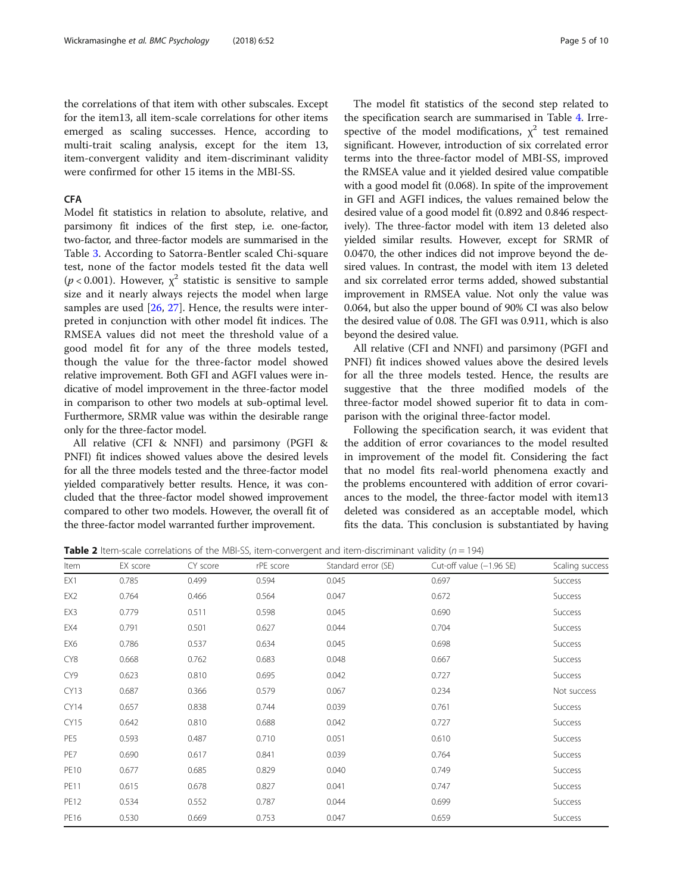<span id="page-4-0"></span>the correlations of that item with other subscales. Except for the item13, all item-scale correlations for other items emerged as scaling successes. Hence, according to multi-trait scaling analysis, except for the item 13, item-convergent validity and item-discriminant validity were confirmed for other 15 items in the MBI-SS.

## **CFA**

Model fit statistics in relation to absolute, relative, and parsimony fit indices of the first step, i.e. one-factor, two-factor, and three-factor models are summarised in the Table [3](#page-5-0). According to Satorra-Bentler scaled Chi-square test, none of the factor models tested fit the data well ( $p < 0.001$ ). However,  $\chi^2$  statistic is sensitive to sample size and it nearly always rejects the model when large samples are used [\[26](#page-9-0), [27](#page-9-0)]. Hence, the results were interpreted in conjunction with other model fit indices. The RMSEA values did not meet the threshold value of a good model fit for any of the three models tested, though the value for the three-factor model showed relative improvement. Both GFI and AGFI values were indicative of model improvement in the three-factor model in comparison to other two models at sub-optimal level. Furthermore, SRMR value was within the desirable range only for the three-factor model.

All relative (CFI & NNFI) and parsimony (PGFI & PNFI) fit indices showed values above the desired levels for all the three models tested and the three-factor model yielded comparatively better results. Hence, it was concluded that the three-factor model showed improvement compared to other two models. However, the overall fit of the three-factor model warranted further improvement.

The model fit statistics of the second step related to the specification search are summarised in Table [4](#page-5-0). Irrespective of the model modifications,  $\chi^2$  test remained significant. However, introduction of six correlated error terms into the three-factor model of MBI-SS, improved the RMSEA value and it yielded desired value compatible with a good model fit (0.068). In spite of the improvement in GFI and AGFI indices, the values remained below the desired value of a good model fit (0.892 and 0.846 respectively). The three-factor model with item 13 deleted also yielded similar results. However, except for SRMR of 0.0470, the other indices did not improve beyond the desired values. In contrast, the model with item 13 deleted and six correlated error terms added, showed substantial improvement in RMSEA value. Not only the value was 0.064, but also the upper bound of 90% CI was also below the desired value of 0.08. The GFI was 0.911, which is also beyond the desired value.

All relative (CFI and NNFI) and parsimony (PGFI and PNFI) fit indices showed values above the desired levels for all the three models tested. Hence, the results are suggestive that the three modified models of the three-factor model showed superior fit to data in comparison with the original three-factor model.

Following the specification search, it was evident that the addition of error covariances to the model resulted in improvement of the model fit. Considering the fact that no model fits real-world phenomena exactly and the problems encountered with addition of error covariances to the model, the three-factor model with item13 deleted was considered as an acceptable model, which fits the data. This conclusion is substantiated by having

**Table 2** Item-scale correlations of the MBI-SS, item-convergent and item-discriminant validity ( $n = 194$ )

| Item            | EX score | CY score | rPE score | Standard error (SE) | Cut-off value (-1.96 SE) | Scaling success |
|-----------------|----------|----------|-----------|---------------------|--------------------------|-----------------|
| EX1             | 0.785    | 0.499    | 0.594     | 0.045               | 0.697                    | <b>Success</b>  |
| EX <sub>2</sub> | 0.764    | 0.466    | 0.564     | 0.047               | 0.672                    | Success         |
| EX3             | 0.779    | 0.511    | 0.598     | 0.045               | 0.690                    | Success         |
| EX4             | 0.791    | 0.501    | 0.627     | 0.044               | 0.704                    | Success         |
| EX6             | 0.786    | 0.537    | 0.634     | 0.045               | 0.698                    | <b>Success</b>  |
| CY8             | 0.668    | 0.762    | 0.683     | 0.048               | 0.667                    | <b>Success</b>  |
| CY9             | 0.623    | 0.810    | 0.695     | 0.042               | 0.727                    | <b>Success</b>  |
| <b>CY13</b>     | 0.687    | 0.366    | 0.579     | 0.067               | 0.234                    | Not success     |
| CY14            | 0.657    | 0.838    | 0.744     | 0.039               | 0.761                    | Success         |
| CY15            | 0.642    | 0.810    | 0.688     | 0.042               | 0.727                    | <b>Success</b>  |
| PE5             | 0.593    | 0.487    | 0.710     | 0.051               | 0.610                    | <b>Success</b>  |
| PE7             | 0.690    | 0.617    | 0.841     | 0.039               | 0.764                    | <b>Success</b>  |
| <b>PE10</b>     | 0.677    | 0.685    | 0.829     | 0.040               | 0.749                    | Success         |
| <b>PE11</b>     | 0.615    | 0.678    | 0.827     | 0.041               | 0.747                    | Success         |
| PE12            | 0.534    | 0.552    | 0.787     | 0.044               | 0.699                    | <b>Success</b>  |
| PE16            | 0.530    | 0.669    | 0.753     | 0.047               | 0.659                    | Success         |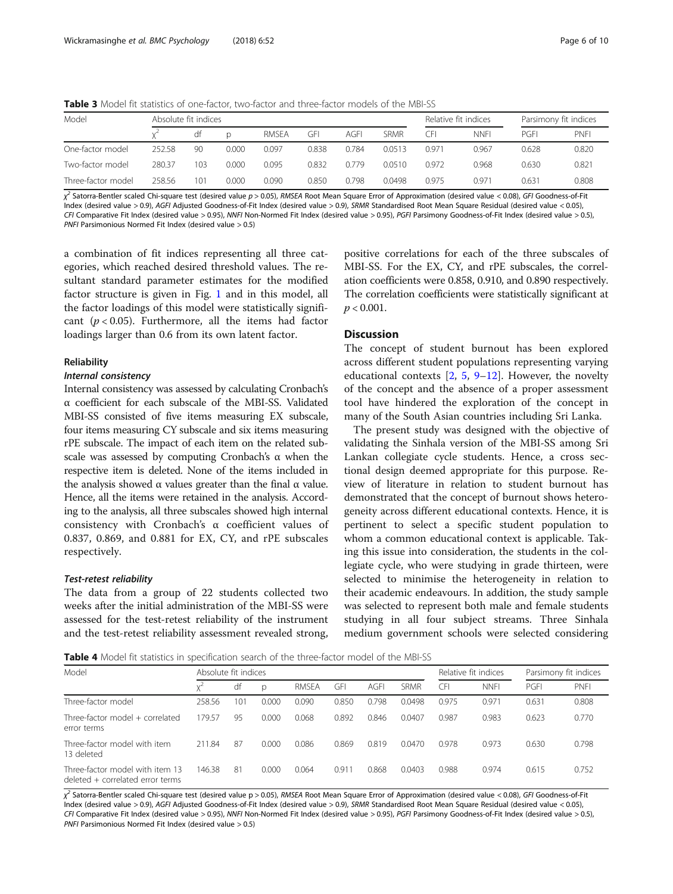<span id="page-5-0"></span>Table 3 Model fit statistics of one-factor, two-factor and three-factor models of the MBI-SS

| Model              | Absolute fit indices |     |       |              |       |       |             | Relative fit indices |             |       | Parsimony fit indices |  |
|--------------------|----------------------|-----|-------|--------------|-------|-------|-------------|----------------------|-------------|-------|-----------------------|--|
|                    |                      | df  | n     | <b>RMSEA</b> | GFI   | AGFI  | <b>SRMR</b> | CΕ                   | <b>NNFI</b> | PGFI  | PNFI                  |  |
| One-factor model   | 252.58               | 90  | 0.000 | 0.097        | 0.838 | 0.784 | 0.0513      | በ 971                | 0.967       | 0.628 | 0.820                 |  |
| Two-factor model   | 280.37               | 103 | 0.000 | 0.095        | 0.832 | 0.779 | 0.0510      | 0.972                | 0.968       | 0.630 | 0.821                 |  |
| Three-factor model | 258.56               | 10. | 0.000 | 0.090        | 0.850 | 0.798 | 0.0498      | 0 975                | 0.971       | 0.631 | 0.808                 |  |

χ<sup>2</sup> Satorra-Bentler scaled Chi-square test (desired value p > 0.05), RMSEA Root Mean Square Error of Approximation (desired value < 0.08), GFI Goodness-of-Fit<br>Index (desired value > 0.9), 4GFI Adjusted Goodness-of-Fit In Index (desired value > 0.9), AGFI Adjusted Goodness-of-Fit Index (desired value > 0.9), SRMR Standardised Root Mean Square Residual (desired value < 0.05), CFI Comparative Fit Index (desired value > 0.95), NNFI Non-Normed Fit Index (desired value > 0.95), PGFI Parsimony Goodness-of-Fit Index (desired value > 0.5), PNFI Parsimonious Normed Fit Index (desired value > 0.5)

a combination of fit indices representing all three categories, which reached desired threshold values. The resultant standard parameter estimates for the modified factor structure is given in Fig. [1](#page-6-0) and in this model, all the factor loadings of this model were statistically significant ( $p < 0.05$ ). Furthermore, all the items had factor loadings larger than 0.6 from its own latent factor.

#### Reliability

## Internal consistency

Internal consistency was assessed by calculating Cronbach's α coefficient for each subscale of the MBI-SS. Validated MBI-SS consisted of five items measuring EX subscale, four items measuring CY subscale and six items measuring rPE subscale. The impact of each item on the related subscale was assessed by computing Cronbach's α when the respective item is deleted. None of the items included in the analysis showed  $α$  values greater than the final  $α$  value. Hence, all the items were retained in the analysis. According to the analysis, all three subscales showed high internal consistency with Cronbach's α coefficient values of 0.837, 0.869, and 0.881 for EX, CY, and rPE subscales respectively.

## Test-retest reliability

The data from a group of 22 students collected two weeks after the initial administration of the MBI-SS were assessed for the test-retest reliability of the instrument and the test-retest reliability assessment revealed strong,

positive correlations for each of the three subscales of MBI-SS. For the EX, CY, and rPE subscales, the correlation coefficients were 0.858, 0.910, and 0.890 respectively. The correlation coefficients were statistically significant at  $p < 0.001$ .

## **Discussion**

The concept of student burnout has been explored across different student populations representing varying educational contexts [\[2](#page-8-0), [5,](#page-8-0) [9](#page-9-0)–[12](#page-9-0)]. However, the novelty of the concept and the absence of a proper assessment tool have hindered the exploration of the concept in many of the South Asian countries including Sri Lanka.

The present study was designed with the objective of validating the Sinhala version of the MBI-SS among Sri Lankan collegiate cycle students. Hence, a cross sectional design deemed appropriate for this purpose. Review of literature in relation to student burnout has demonstrated that the concept of burnout shows heterogeneity across different educational contexts. Hence, it is pertinent to select a specific student population to whom a common educational context is applicable. Taking this issue into consideration, the students in the collegiate cycle, who were studying in grade thirteen, were selected to minimise the heterogeneity in relation to their academic endeavours. In addition, the study sample was selected to represent both male and female students studying in all four subject streams. Three Sinhala medium government schools were selected considering

Table 4 Model fit statistics in specification search of the three-factor model of the MBI-SS

| Model                                                                 | Absolute fit indices |     |       |              |       |            |             | Relative fit indices |             | Parsimony fit indices |       |
|-----------------------------------------------------------------------|----------------------|-----|-------|--------------|-------|------------|-------------|----------------------|-------------|-----------------------|-------|
|                                                                       |                      | df  | p     | <b>RMSEA</b> | GFI   | <b>AGF</b> | <b>SRMR</b> | CFI                  | <b>NNFI</b> | PGFI                  | PNFI  |
| Three-factor model                                                    | 258.56               | 101 | 0.000 | 0.090        | 0.850 | 0.798      | 0.0498      | 0.975                | 0.971       | 0.631                 | 0.808 |
| Three-factor model + correlated<br>error terms                        | 79.57                | 95  | 0.000 | 0.068        | 0.892 | 0.846      | 0.0407      | 0.987                | 0.983       | 0.623                 | 0.770 |
| Three-factor model with item<br>13 deleted                            | 211.84               | 87  | 0.000 | 0.086        | 0.869 | 0.819      | 0.0470      | 0.978                | 0.973       | 0.630                 | 0.798 |
| Three-factor model with item 13<br>$deleted + correlated error terms$ | 146.38               | 81  | 0.000 | 0.064        | 0.911 | 0.868      | 0.0403      | 0.988                | 0.974       | 0.615                 | 0.752 |

χ<sup>2</sup> Satorra-Bentler scaled Chi-square test (desired value p > 0.05), RMSEA Root Mean Square Error of Approximation (desired value < 0.08), GFI Goodness-of-Fit<br>Index (desired value > 0.0), 4GFI Adjusted Goodness-of-Fit In Index (desired value > 0.9), AGFI Adjusted Goodness-of-Fit Index (desired value > 0.9), SRMR Standardised Root Mean Square Residual (desired value < 0.05), CFI Comparative Fit Index (desired value > 0.95), NNFI Non-Normed Fit Index (desired value > 0.95), PGFI Parsimony Goodness-of-Fit Index (desired value > 0.5), PNFI Parsimonious Normed Fit Index (desired value > 0.5)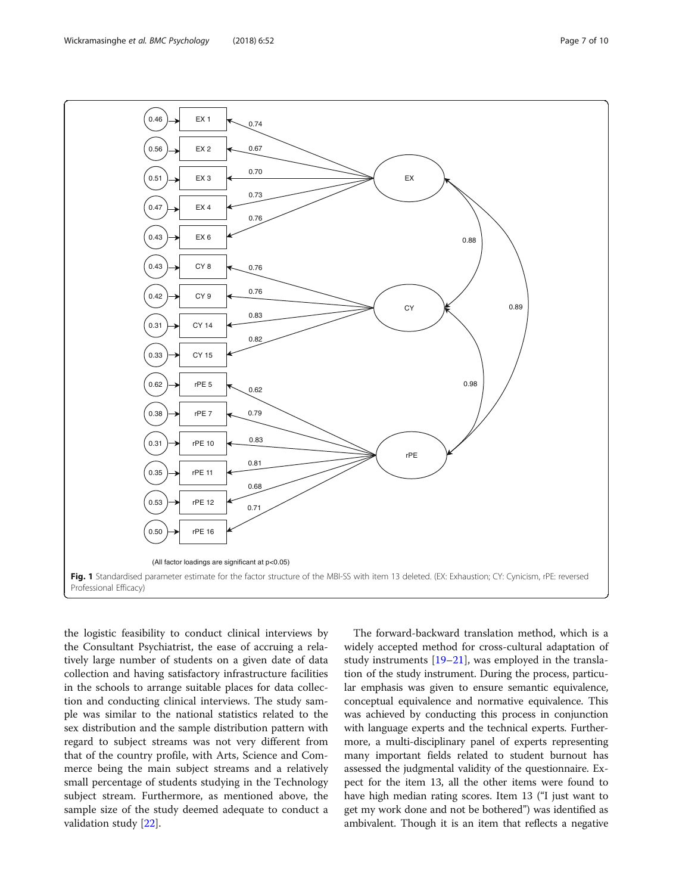<span id="page-6-0"></span>

the logistic feasibility to conduct clinical interviews by the Consultant Psychiatrist, the ease of accruing a relatively large number of students on a given date of data collection and having satisfactory infrastructure facilities in the schools to arrange suitable places for data collection and conducting clinical interviews. The study sample was similar to the national statistics related to the sex distribution and the sample distribution pattern with regard to subject streams was not very different from that of the country profile, with Arts, Science and Commerce being the main subject streams and a relatively small percentage of students studying in the Technology subject stream. Furthermore, as mentioned above, the sample size of the study deemed adequate to conduct a validation study [[22](#page-9-0)].

The forward-backward translation method, which is a widely accepted method for cross-cultural adaptation of study instruments  $[19-21]$  $[19-21]$  $[19-21]$ , was employed in the translation of the study instrument. During the process, particular emphasis was given to ensure semantic equivalence, conceptual equivalence and normative equivalence. This was achieved by conducting this process in conjunction with language experts and the technical experts. Furthermore, a multi-disciplinary panel of experts representing many important fields related to student burnout has assessed the judgmental validity of the questionnaire. Expect for the item 13, all the other items were found to have high median rating scores. Item 13 ("I just want to get my work done and not be bothered") was identified as ambivalent. Though it is an item that reflects a negative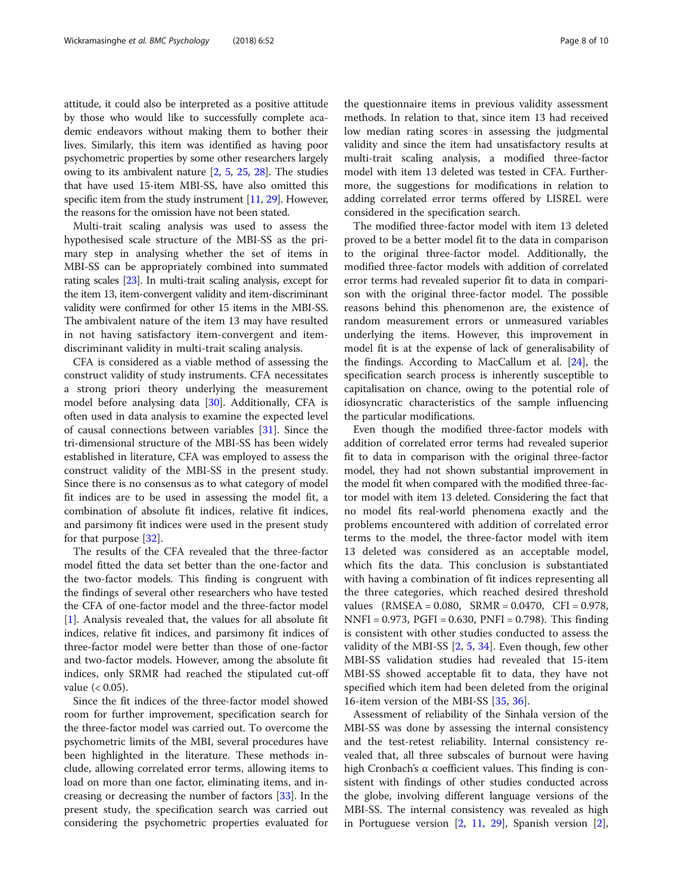attitude, it could also be interpreted as a positive attitude by those who would like to successfully complete academic endeavors without making them to bother their lives. Similarly, this item was identified as having poor psychometric properties by some other researchers largely owing to its ambivalent nature [[2,](#page-8-0) [5](#page-8-0), [25](#page-9-0), [28\]](#page-9-0). The studies that have used 15-item MBI-SS, have also omitted this specific item from the study instrument [\[11,](#page-9-0) [29](#page-9-0)]. However, the reasons for the omission have not been stated.

Multi-trait scaling analysis was used to assess the hypothesised scale structure of the MBI-SS as the primary step in analysing whether the set of items in MBI-SS can be appropriately combined into summated rating scales [[23](#page-9-0)]. In multi-trait scaling analysis, except for the item 13, item-convergent validity and item-discriminant validity were confirmed for other 15 items in the MBI-SS. The ambivalent nature of the item 13 may have resulted in not having satisfactory item-convergent and itemdiscriminant validity in multi-trait scaling analysis.

CFA is considered as a viable method of assessing the construct validity of study instruments. CFA necessitates a strong priori theory underlying the measurement model before analysing data [\[30](#page-9-0)]. Additionally, CFA is often used in data analysis to examine the expected level of causal connections between variables [\[31](#page-9-0)]. Since the tri-dimensional structure of the MBI-SS has been widely established in literature, CFA was employed to assess the construct validity of the MBI-SS in the present study. Since there is no consensus as to what category of model fit indices are to be used in assessing the model fit, a combination of absolute fit indices, relative fit indices, and parsimony fit indices were used in the present study for that purpose [\[32\]](#page-9-0).

The results of the CFA revealed that the three-factor model fitted the data set better than the one-factor and the two-factor models. This finding is congruent with the findings of several other researchers who have tested the CFA of one-factor model and the three-factor model [[1\]](#page-8-0). Analysis revealed that, the values for all absolute fit indices, relative fit indices, and parsimony fit indices of three-factor model were better than those of one-factor and two-factor models. However, among the absolute fit indices, only SRMR had reached the stipulated cut-off value  $(< 0.05)$ .

Since the fit indices of the three-factor model showed room for further improvement, specification search for the three-factor model was carried out. To overcome the psychometric limits of the MBI, several procedures have been highlighted in the literature. These methods include, allowing correlated error terms, allowing items to load on more than one factor, eliminating items, and increasing or decreasing the number of factors [[33](#page-9-0)]. In the present study, the specification search was carried out considering the psychometric properties evaluated for the questionnaire items in previous validity assessment methods. In relation to that, since item 13 had received low median rating scores in assessing the judgmental validity and since the item had unsatisfactory results at multi-trait scaling analysis, a modified three-factor model with item 13 deleted was tested in CFA. Furthermore, the suggestions for modifications in relation to adding correlated error terms offered by LISREL were considered in the specification search.

The modified three-factor model with item 13 deleted proved to be a better model fit to the data in comparison to the original three-factor model. Additionally, the modified three-factor models with addition of correlated error terms had revealed superior fit to data in comparison with the original three-factor model. The possible reasons behind this phenomenon are, the existence of random measurement errors or unmeasured variables underlying the items. However, this improvement in model fit is at the expense of lack of generalisability of the findings. According to MacCallum et al. [[24](#page-9-0)], the specification search process is inherently susceptible to capitalisation on chance, owing to the potential role of idiosyncratic characteristics of the sample influencing the particular modifications.

Even though the modified three-factor models with addition of correlated error terms had revealed superior fit to data in comparison with the original three-factor model, they had not shown substantial improvement in the model fit when compared with the modified three-factor model with item 13 deleted. Considering the fact that no model fits real-world phenomena exactly and the problems encountered with addition of correlated error terms to the model, the three-factor model with item 13 deleted was considered as an acceptable model, which fits the data. This conclusion is substantiated with having a combination of fit indices representing all the three categories, which reached desired threshold values (RMSEA = 0.080, SRMR = 0.0470, CFI = 0.978, NNFI = 0.973, PGFI = 0.630, PNFI = 0.798). This finding is consistent with other studies conducted to assess the validity of the MBI-SS [[2](#page-8-0), [5](#page-8-0), [34](#page-9-0)]. Even though, few other MBI-SS validation studies had revealed that 15-item MBI-SS showed acceptable fit to data, they have not specified which item had been deleted from the original 16-item version of the MBI-SS [\[35](#page-9-0), [36\]](#page-9-0).

Assessment of reliability of the Sinhala version of the MBI-SS was done by assessing the internal consistency and the test-retest reliability. Internal consistency revealed that, all three subscales of burnout were having high Cronbach's α coefficient values. This finding is consistent with findings of other studies conducted across the globe, involving different language versions of the MBI-SS. The internal consistency was revealed as high in Portuguese version [[2](#page-8-0), [11](#page-9-0), [29](#page-9-0)], Spanish version [\[2](#page-8-0)],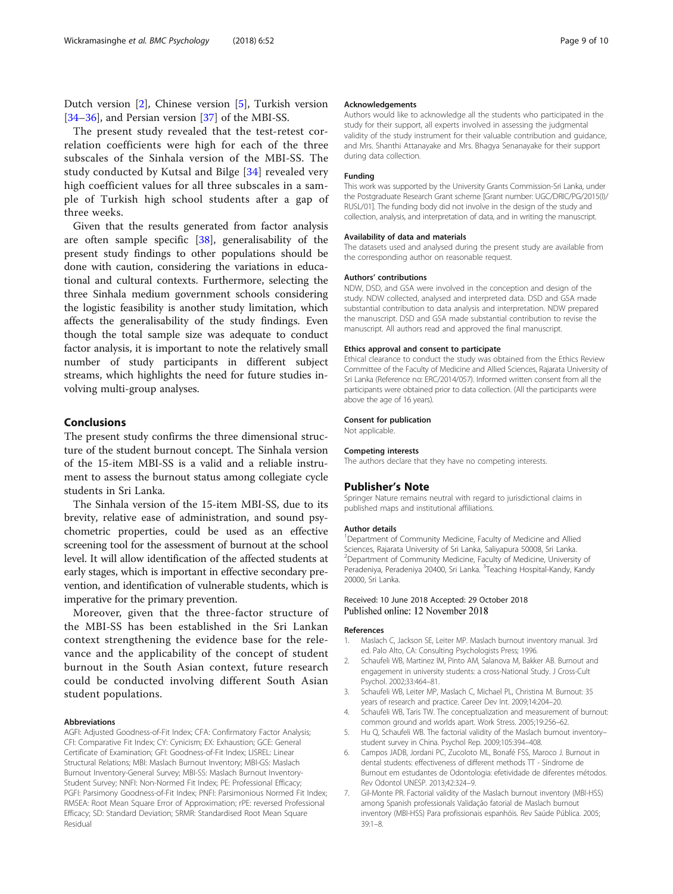<span id="page-8-0"></span>Dutch version [2], Chinese version [5], Turkish version [[34](#page-9-0)–[36](#page-9-0)], and Persian version [[37\]](#page-9-0) of the MBI-SS.

The present study revealed that the test-retest correlation coefficients were high for each of the three subscales of the Sinhala version of the MBI-SS. The study conducted by Kutsal and Bilge [\[34\]](#page-9-0) revealed very high coefficient values for all three subscales in a sample of Turkish high school students after a gap of three weeks.

Given that the results generated from factor analysis are often sample specific [[38\]](#page-9-0), generalisability of the present study findings to other populations should be done with caution, considering the variations in educational and cultural contexts. Furthermore, selecting the three Sinhala medium government schools considering the logistic feasibility is another study limitation, which affects the generalisability of the study findings. Even though the total sample size was adequate to conduct factor analysis, it is important to note the relatively small number of study participants in different subject streams, which highlights the need for future studies involving multi-group analyses.

#### Conclusions

The present study confirms the three dimensional structure of the student burnout concept. The Sinhala version of the 15-item MBI-SS is a valid and a reliable instrument to assess the burnout status among collegiate cycle students in Sri Lanka.

The Sinhala version of the 15-item MBI-SS, due to its brevity, relative ease of administration, and sound psychometric properties, could be used as an effective screening tool for the assessment of burnout at the school level. It will allow identification of the affected students at early stages, which is important in effective secondary prevention, and identification of vulnerable students, which is imperative for the primary prevention.

Moreover, given that the three-factor structure of the MBI-SS has been established in the Sri Lankan context strengthening the evidence base for the relevance and the applicability of the concept of student burnout in the South Asian context, future research could be conducted involving different South Asian student populations.

#### Abbreviations

AGFI: Adjusted Goodness-of-Fit Index; CFA: Confirmatory Factor Analysis; CFI: Comparative Fit Index; CY: Cynicism; EX: Exhaustion; GCE: General Certificate of Examination; GFI: Goodness-of-Fit Index; LISREL: Linear Structural Relations; MBI: Maslach Burnout Inventory; MBI-GS: Maslach Burnout Inventory-General Survey; MBI-SS: Maslach Burnout Inventory-Student Survey; NNFI: Non-Normed Fit Index; PE: Professional Efficacy; PGFI: Parsimony Goodness-of-Fit Index; PNFI: Parsimonious Normed Fit Index; RMSEA: Root Mean Square Error of Approximation; rPE: reversed Professional Efficacy; SD: Standard Deviation; SRMR: Standardised Root Mean Square Residual

#### Acknowledgements

Authors would like to acknowledge all the students who participated in the study for their support, all experts involved in assessing the judgmental validity of the study instrument for their valuable contribution and guidance, and Mrs. Shanthi Attanayake and Mrs. Bhagya Senanayake for their support during data collection.

#### Funding

This work was supported by the University Grants Commission-Sri Lanka, under the Postgraduate Research Grant scheme [Grant number: UGC/DRIC/PG/2015(I)/ RUSL/01]. The funding body did not involve in the design of the study and collection, analysis, and interpretation of data, and in writing the manuscript.

#### Availability of data and materials

The datasets used and analysed during the present study are available from the corresponding author on reasonable request.

#### Authors' contributions

NDW, DSD, and GSA were involved in the conception and design of the study. NDW collected, analysed and interpreted data. DSD and GSA made substantial contribution to data analysis and interpretation. NDW prepared the manuscript. DSD and GSA made substantial contribution to revise the manuscript. All authors read and approved the final manuscript.

#### Ethics approval and consent to participate

Ethical clearance to conduct the study was obtained from the Ethics Review Committee of the Faculty of Medicine and Allied Sciences, Rajarata University of Sri Lanka (Reference no: ERC/2014/057). Informed written consent from all the participants were obtained prior to data collection. (All the participants were above the age of 16 years).

#### Consent for publication

Not applicable.

#### Competing interests

The authors declare that they have no competing interests.

#### Publisher's Note

Springer Nature remains neutral with regard to jurisdictional claims in published maps and institutional affiliations.

#### Author details

<sup>1</sup>Department of Community Medicine, Faculty of Medicine and Allied Sciences, Rajarata University of Sri Lanka, Saliyapura 50008, Sri Lanka. 2 Department of Community Medicine, Faculty of Medicine, University of Peradeniya, Peradeniya 20400, Sri Lanka. <sup>3</sup>Teaching Hospital-Kandy, Kandy 20000, Sri Lanka.

## Received: 10 June 2018 Accepted: 29 October 2018 Published online: 12 November 2018

#### References

- 1. Maslach C, Jackson SE, Leiter MP. Maslach burnout inventory manual. 3rd ed. Palo Alto, CA: Consulting Psychologists Press; 1996.
- 2. Schaufeli WB, Martinez IM, Pinto AM, Salanova M, Bakker AB. Burnout and engagement in university students: a cross-National Study. J Cross-Cult Psychol. 2002;33:464–81.
- 3. Schaufeli WB, Leiter MP, Maslach C, Michael PL, Christina M. Burnout: 35 years of research and practice. Career Dev Int. 2009;14:204–20.
- 4. Schaufeli WB, Taris TW. The conceptualization and measurement of burnout: common ground and worlds apart. Work Stress. 2005;19:256–62.
- Hu Q, Schaufeli WB. The factorial validity of the Maslach burnout inventorystudent survey in China. Psychol Rep. 2009;105:394–408.
- 6. Campos JADB, Jordani PC, Zucoloto ML, Bonafé FSS, Maroco J. Burnout in dental students: effectiveness of different methods TT - Síndrome de Burnout em estudantes de Odontologia: efetividade de diferentes métodos. Rev Odontol UNESP. 2013;42:324–9.
- 7. Gil-Monte PR. Factorial validity of the Maslach burnout inventory (MBI-HSS) among Spanish professionals Validação fatorial de Maslach burnout inventory (MBI-HSS) Para profissionais espanhóis. Rev Saúde Pública. 2005; 39:1–8.